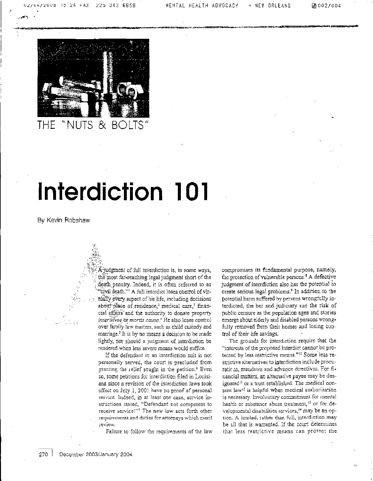团 002/004



#### `S B<sup>i</sup>  $8<sub>x</sub>$

# Interdiction 101

By Kevin Robshaw

A-judgment of full interdiction is, in some ways, the most far-reaching legal judgment short of the death penalty. Indeed, it is often referred to as "civil death."<sup>1</sup> A full interdict loses control of virtually every aspect of his life, including decisions about place of residence,<sup>2</sup> medical care,<sup>3</sup> financial affairs and the authority to donate property interwivos or mortis causa.<sup>4</sup> He also loses control over family law matters, such as child custody and marriage.<sup>5</sup> It is by no means a decision to be made lightly, nor should a judgment of interdiction be rendered when less severe means would suffice.

If the defendant in an interdiction suit is not personally served, the court is precluded from granting the relief sought in the petition.<sup>6</sup> Even so, some petitions for interdiction filed in Louisiana since a revision of the interdiction laws took effect on July 1, 2001 have no proof of personal service. Indeed, in at least one case, service instructions stated, "Defendant not competent to receive service!"7 The new law sets forth other requirements and duties for attorneys which ment review.

Failure to follow the requirements of the law

compromises its fundamental purpose, namely, the protection of vulnerable persons.<sup>8</sup> A defective judgment of interdiction also has the potential to create serious legal problems.<sup>9</sup> In addition to the potential harm suffered by persons wrongfully interdicted, the bar and judiciary run the risk of public censure as the population ages and stories emerge about elderly and disabled persons wrongfully removed from their homes and losing control of their life savings.

The grounds for interdiction require that the "interests of the proposed interdict cannot be protected by less restrictive means."<sup>10</sup> Some less restrictive alternatives to interdiction include procuratic as, mandates and advance directives. For financial matters, an altemative payee may be designated<sup>11</sup> or a trust established. The medical consent law<sup>12</sup> is helpful when medical authorization is necessary. Involuntary commitment for mental health or substance abuse treatment,<sup>13</sup> or for developmental disabilities services,<sup>14</sup> may be an option. A limited, rather than full, interdiction may be all that is warranted. If the court determines that less restrictive means can protect the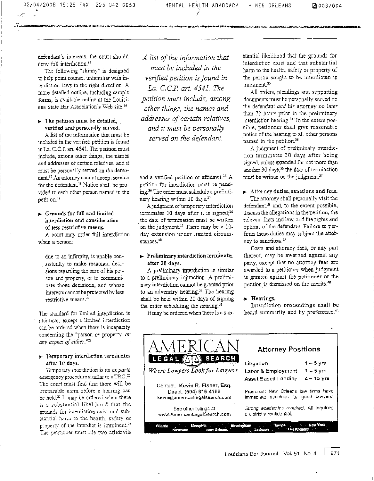02/04/2008 15:25 FAX 225 342 6658<br>-<br>- - -

-

defendant's interests, the court should deny full interdiction.<sup>15</sup>

The following "skinny" is designed to help point counsel unfamiliar with interdiction laws in the right direction. A more detailed outline, including sample forms, is available online at the Louisinna State Bar Association's Web site.<sup>16</sup>

 $\blacktriangleright$  The petition must be detailed, verified and personally served.

A list of the information that must be included in the verified petition is found in La. C.C.P. art. 4541. The petition must include, among other things, the names and addresses of certain relatives, and it must be personally served on the defendant.<sup>17</sup> An attorney cannot accept service for the defendant.<sup>10</sup> Notice shall be provided to each other person named in the petition."

• Grounds for full and limited interdiction and consideration of less restrictive means.

A court may order full interdiction when a person:

due to an infirmity, is unable consistently to make reasoned decisions regarding the care of his person and property, or to communicate those decisions, and whose interests cannot be protected by less restrictive means<sup>20</sup>

The standard for limited interdiction is identical, except a limited interdiction can be ordered when there is incapacity concerning the "person *or* property, *or any aspect of either." 2'*

## *-* Temporary interdiction terminates after 10 days.

Temporary interdiction is an ex parte emergency procedure similar to a TRO.<sup>22</sup> The court must find that there will be irreparable harm before a hearing can be held.<sup>13</sup> It may be ordered when there is a substantial likelihood that the grounds for interdiction exist and substantial harm to the health, safety or property of the interdict is imminent.<sup>24</sup> The petitioner must file two affidavits

*A list of the information that must be included in the verified petition is found in La. C. C.P. art. 4541. The petition must include, among other things, the names and addresses of certain relatives, and it must be personally served on the defendant.*

mr.a.v.<del>, 1967–1978) من المستحدة المسجد المستحدة المستحدة المستحدة المستحدة المستحدة المستحدة المستحدة المستحدة</del>

and a verified petition or affidavit.<sup>25</sup> A petition for interdiction must be pend- $\frac{1}{2}$  The order must schedule a preliminary hearing within 10 days."

*A.* judgment of temporary interdiction terminates 10 days after it is signed; $^{26}$ the date of termination must be written on the judgment.<sup>29</sup> There may be a 10day extension under limited circumstances.<sup>30</sup>

# ► Preliminary interdiction terminate, after 30 days.

A preliminary interdiction is similar to a preliminary injunction. A preliminary interdiction cannot be granted prior to an adversary hearing?' The hearing shall be held within 20 days of signing the order scheduling the hearing.<sup>32</sup>

stantial likelihood that the grounds for interdiction exist and that substantial harm to the health, safety or property of the person sought to be interdicted is imminent."

All orders, pleadings and supporting documents must be personally served on the defendant *and* his attorney no later than 72 hours prior to the preliminary interdiction hearing.<sup>34</sup> To the extent possible, petitioner shall give reasonable notice of the hearing to all other persons named in the petition.<sup>35</sup>

A judgment of preliminary interdiction terminates 30 days after being signed, unless extended for not more than another  $30 \text{ days}$ <sup>36</sup> the date of termination must be written on the judgment.<sup>37</sup>

 $\blacktriangleright$  Attorney duties, sanctions and fees. The attorney shall personally visit the defendant,<sup>38</sup> and, to the extent possible, discuss the allegations in the petition, die relevant facts and law, and the rights and options of the defendant. Failure to perform these duties may subject the attorney to sanctions.<sup>39</sup>

Costs and attorney fees, or any part thereof, may be awarded against any party, except that no attorney fees are awarded to a petitioner when judgment is granted against the petitioner or the petition is dismissed on the merits.<sup>40</sup>

## $\blacktriangleright$  Hearings.

| AMERICAN                                                                                  | <b>Attorney Positions</b>                                                    |
|-------------------------------------------------------------------------------------------|------------------------------------------------------------------------------|
| LEGAL AM<br>SEARCH                                                                        | $1-5$ $\sqrt{5}$<br>Litigation                                               |
| Where Lawyers Look for Lawyers                                                            | $1-5$ yrs<br>Labor & Employment                                              |
|                                                                                           | $4 - 15$ yrs<br>Asset Based Lending                                          |
| Cóntact: Kevin R. Fisher, Esq.<br>Direct: (504) 616-4166<br>kevin@americanlegalsearch.com | Prominant New Orleans law firms have<br>immediate openings for good lawyers! |
| See other listings at<br>www.AmericanLegalSearch.com                                      | Strong academics required. All inquiries<br>are strictly confidential.       |